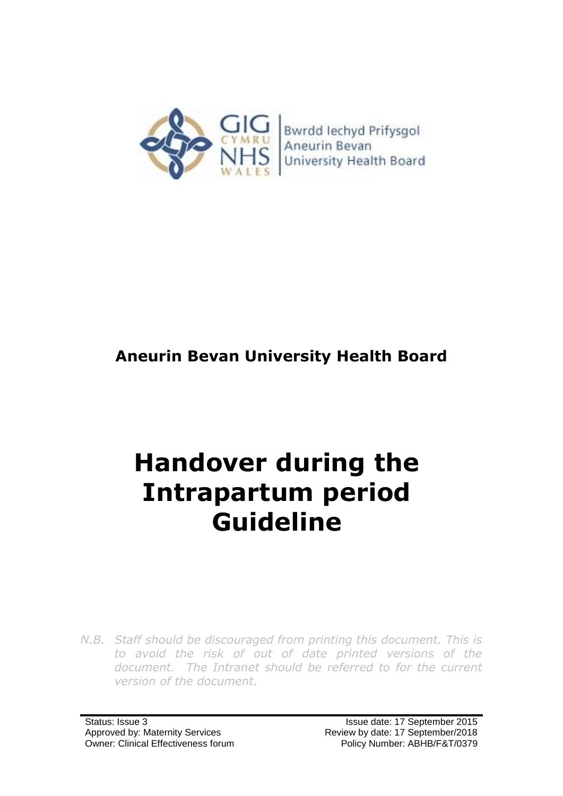

## **Aneurin Bevan University Health Board**

# **Handover during the Intrapartum period Guideline**

*N.B. Staff should be discouraged from printing this document. This is to avoid the risk of out of date printed versions of the*  document. The Intranet should be referred to for the current *version of the document.*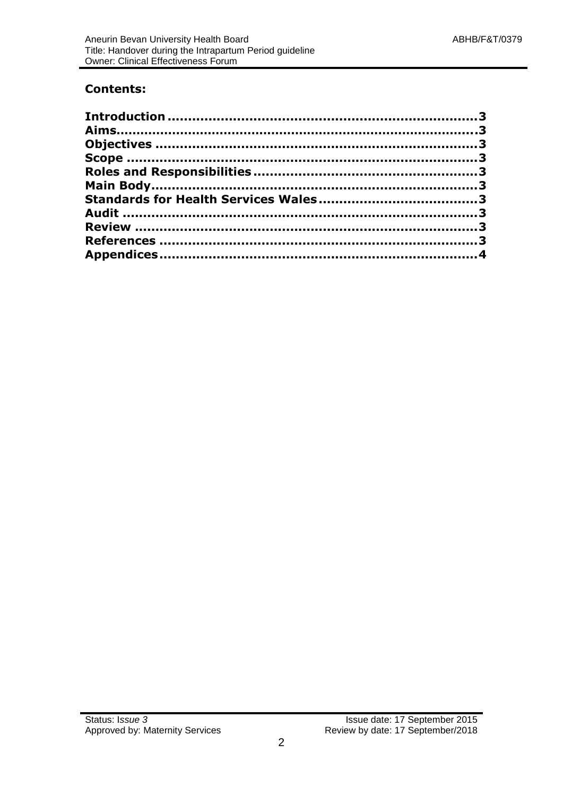#### **Contents:**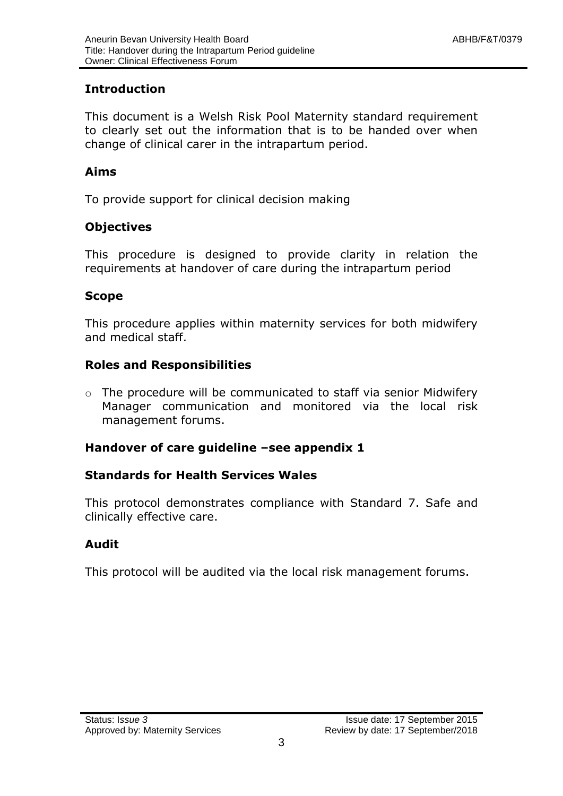#### <span id="page-2-0"></span>**Introduction**

This document is a Welsh Risk Pool Maternity standard requirement to clearly set out the information that is to be handed over when change of clinical carer in the intrapartum period.

#### <span id="page-2-1"></span>**Aims**

To provide support for clinical decision making

#### <span id="page-2-2"></span>**Objectives**

This procedure is designed to provide clarity in relation the requirements at handover of care during the intrapartum period

#### <span id="page-2-3"></span>**Scope**

This procedure applies within maternity services for both midwifery and medical staff.

#### <span id="page-2-4"></span>**Roles and Responsibilities**

 $\circ$  The procedure will be communicated to staff via senior Midwifery Manager communication and monitored via the local risk management forums.

#### <span id="page-2-5"></span>**Handover of care guideline –see appendix 1**

#### <span id="page-2-6"></span>**Standards for Health Services Wales**

This protocol demonstrates compliance with Standard 7. Safe and clinically effective care.

#### <span id="page-2-7"></span>**Audit**

<span id="page-2-8"></span>This protocol will be audited via the local risk management forums.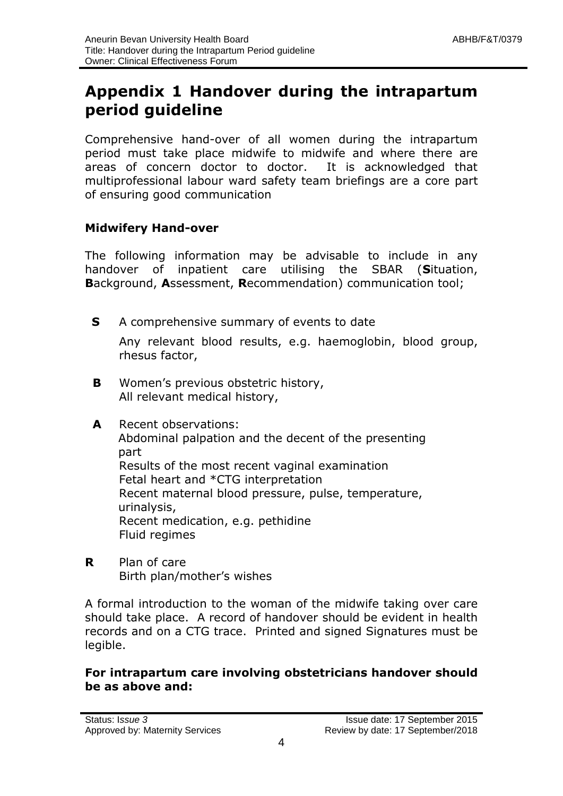### <span id="page-3-0"></span>**Appendix 1 Handover during the intrapartum period guideline**

Comprehensive hand-over of all women during the intrapartum period must take place midwife to midwife and where there are areas of concern doctor to doctor. It is acknowledged that multiprofessional labour ward safety team briefings are a core part of ensuring good communication

#### **Midwifery Hand-over**

The following information may be advisable to include in any handover of inpatient care utilising the SBAR (**S**ituation, **B**ackground, **A**ssessment, **R**ecommendation) communication tool;

**S** A comprehensive summary of events to date

Any relevant blood results, e.g. haemoglobin, blood group, rhesus factor,

- **B** Women's previous obstetric history, All relevant medical history,
- **A** Recent observations: Abdominal palpation and the decent of the presenting part Results of the most recent vaginal examination Fetal heart and \*CTG interpretation Recent maternal blood pressure, pulse, temperature, urinalysis, Recent medication, e.g. pethidine Fluid regimes
- **R** Plan of care Birth plan/mother's wishes

A formal introduction to the woman of the midwife taking over care should take place. A record of handover should be evident in health records and on a CTG trace. Printed and signed Signatures must be legible.

#### **For intrapartum care involving obstetricians handover should be as above and:**